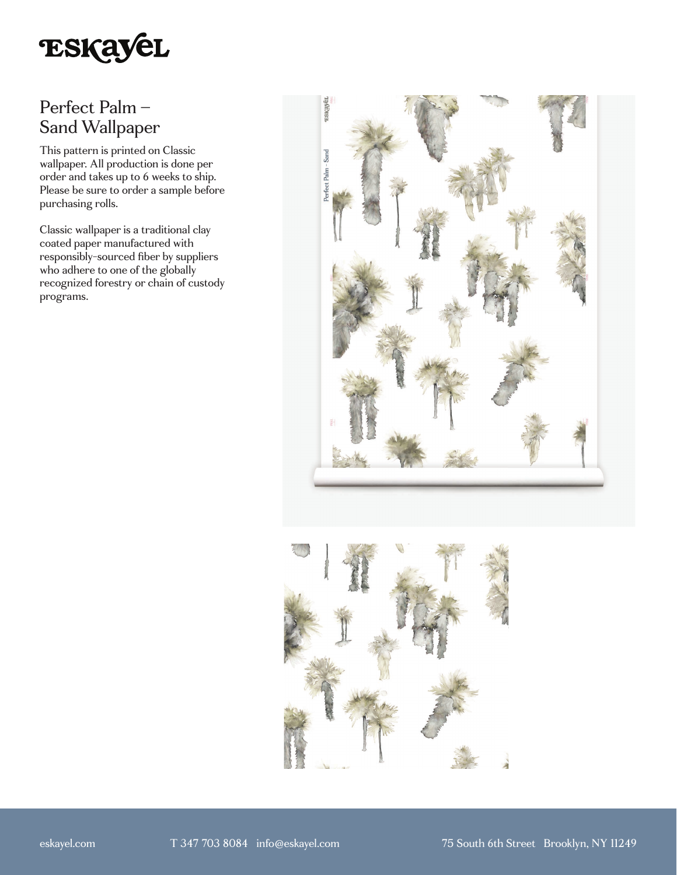

# Perfect Palm – Sand Wallpaper

This pattern is printed on Classic wallpaper. All production is done per order and takes up to 6 weeks to ship. Please be sure to order a sample before purchasing rolls.

Classic wallpaper is a traditional clay coated paper manufactured with responsibly-sourced fiber by suppliers who adhere to one of the globally recognized forestry or chain of custody programs.



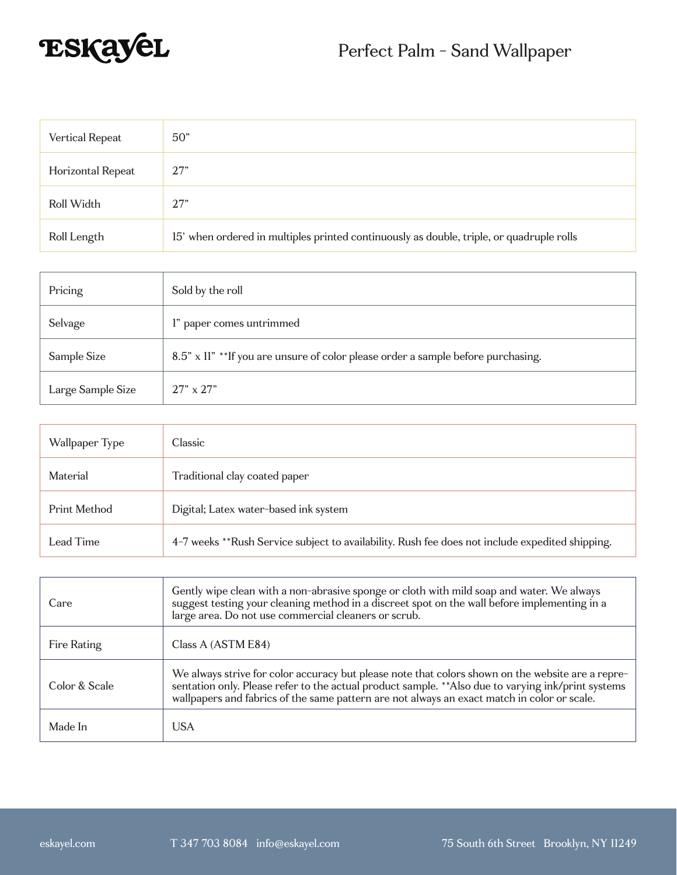

| Vertical Repeat   | 50"                                                                                      |
|-------------------|------------------------------------------------------------------------------------------|
| Horizontal Repeat | 27"                                                                                      |
| Roll Width        | 27"                                                                                      |
| Roll Length       | 15' when ordered in multiples printed continuously as double, triple, or quadruple rolls |

| Pricing           | Sold by the roll                                                                  |
|-------------------|-----------------------------------------------------------------------------------|
| Selvage           | l" paper comes untrimmed                                                          |
| Sample Size       | 8.5" x 11" ** If you are unsure of color please order a sample before purchasing. |
| Large Sample Size | $27" \times 27"$                                                                  |

| Wallpaper Type | Classic                                                                                         |
|----------------|-------------------------------------------------------------------------------------------------|
| Material       | Traditional clay coated paper                                                                   |
| Print Method   | Digital; Latex water-based ink system                                                           |
| Lead Time      | 4-7 weeks **Rush Service subject to availability. Rush fee does not include expedited shipping. |

| Care          | Gently wipe clean with a non-abrasive sponge or cloth with mild soap and water. We always<br>suggest testing your cleaning method in a discreet spot on the wall before implementing in a<br>large area. Do not use commercial cleaners or scrub.                                                       |
|---------------|---------------------------------------------------------------------------------------------------------------------------------------------------------------------------------------------------------------------------------------------------------------------------------------------------------|
| Fire Rating   | Class A (ASTM E84)                                                                                                                                                                                                                                                                                      |
| Color & Scale | We always strive for color accuracy but please note that colors shown on the website are a repre-<br>sentation only. Please refer to the actual product sample. ** Also due to varying ink/print systems<br>wallpapers and fabrics of the same pattern are not always an exact match in color or scale. |
| Made In       | <b>USA</b>                                                                                                                                                                                                                                                                                              |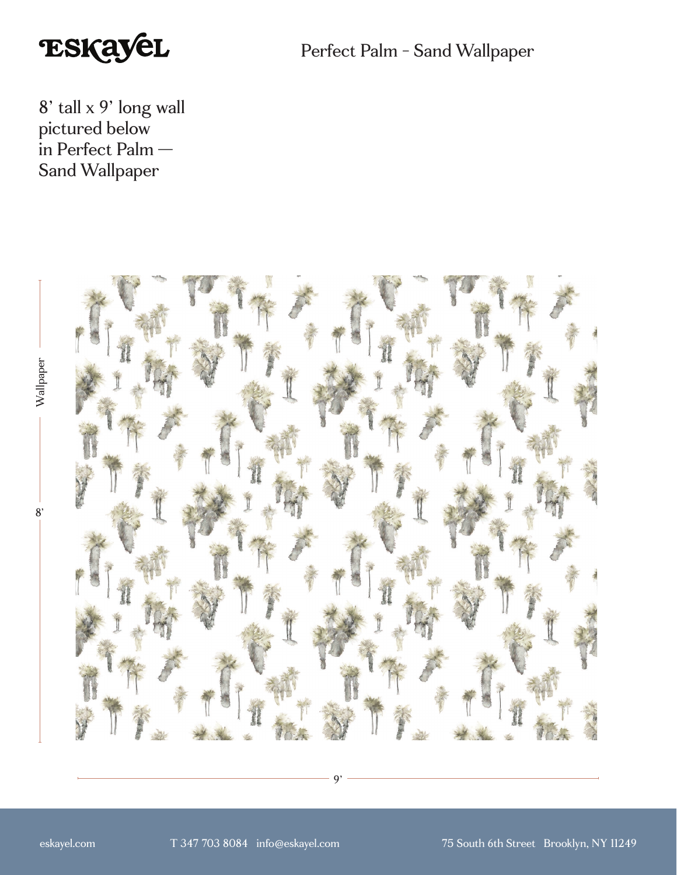

Perfect Palm - Sand Wallpaper

8' tall x 9' long wall pictured below in Perfect Palm — Sand Wallpaper



9'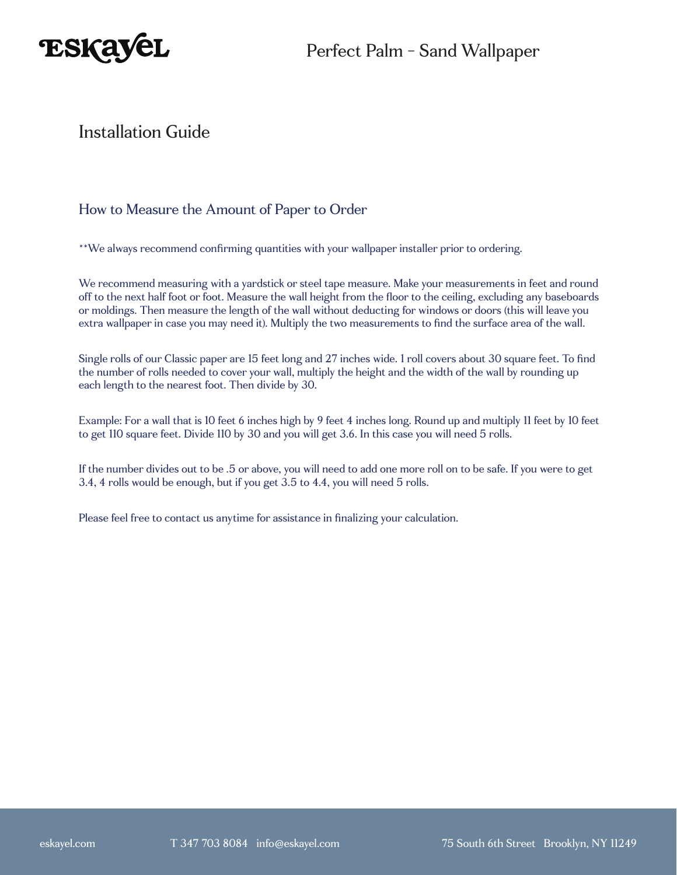



### Installation Guide

#### How to Measure the Amount of Paper to Order

\*\*We always recommend confirming quantities with your wallpaper installer prior to ordering.

We recommend measuring with a yardstick or steel tape measure. Make your measurements in feet and round off to the next half foot or foot. Measure the wall height from the floor to the ceiling, excluding any baseboards or moldings. Then measure the length of the wall without deducting for windows or doors (this will leave you extra wallpaper in case you may need it). Multiply the two measurements to find the surface area of the wall.

Single rolls of our Classic paper are 15 feet long and 27 inches wide. 1 roll covers about 30 square feet. To find the number of rolls needed to cover your wall, multiply the height and the width of the wall by rounding up each length to the nearest foot. Then divide by 30.

Example: For a wall that is 10 feet 6 inches high by 9 feet 4 inches long. Round up and multiply 11 feet by 10 feet to get 110 square feet. Divide 110 by 30 and you will get 3.6. In this case you will need 5 rolls.

If the number divides out to be .5 or above, you will need to add one more roll on to be safe. If you were to get 3.4, 4 rolls would be enough, but if you get 3.5 to 4.4, you will need 5 rolls.

Please feel free to contact us anytime for assistance in finalizing your calculation.